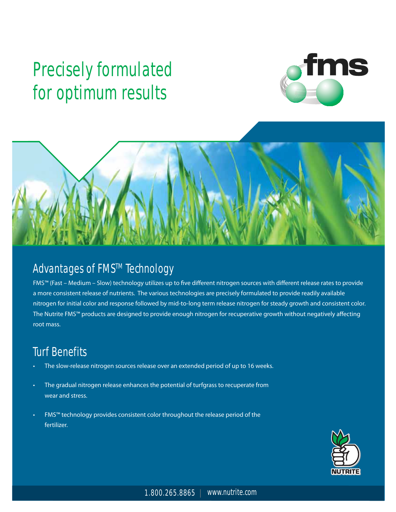# **Precisely formulated for optimum results**





## **Advantages of FMS™ Technology**

FMS™ (Fast – Medium – Slow) technology utilizes up to five different nitrogen sources with different release rates to provide a more consistent release of nutrients. The various technologies are precisely formulated to provide readily available nitrogen for initial color and response followed by mid-to-long term release nitrogen for steady growth and consistent color. The Nutrite FMS™ products are designed to provide enough nitrogen for recuperative growth without negatively affecting root mass.

## **Turf Benefits**

- The slow-release nitrogen sources release over an extended period of up to 16 weeks.
- The gradual nitrogen release enhances the potential of turfgrass to recuperate from wear and stress.
- FMS™ technology provides consistent color throughout the release period of the fertilizer.